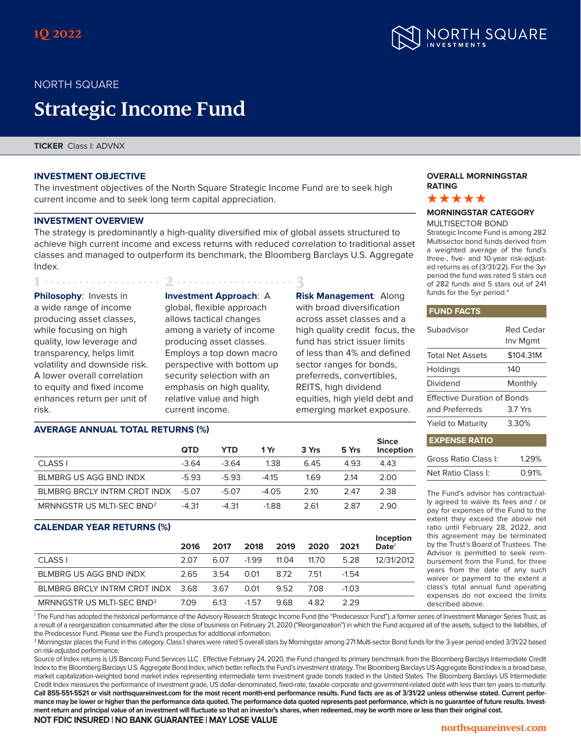

# NORTH SQUARE

# **Strategic Income Fund**

**1 2 3** 

**TICKER** Class I: ADVNX

## **INVESTMENT OBJECTIVE**

The investment objectives of the North Square Strategic Income Fund are to seek high current income and to seek long term capital appreciation.

## **INVESTMENT OVERVIEW**

The strategy is predominantly a high-quality diversified mix of global assets structured to achieve high current income and excess returns with reduced correlation to traditional asset classes and managed to outperform its benchmark, the Bloomberg Barclays U.S. Aggregate Index.

**Philosophy**: Invests in a wide range of income producing asset classes, while focusing on high quality, low leverage and transparency, helps limit volatility and downside risk. A lower overall correlation to equity and fixed income enhances return per unit of risk.

**Investment Approach**: A global, flexible approach allows tactical changes among a variety of income producing asset classes. Employs a top down macro perspective with bottom up security selection with an emphasis on high quality, relative value and high current income.

**Risk Management**: Along with broad diversification across asset classes and a high quality credit focus, the fund has strict issuer limits of less than 4% and defined sector ranges for bonds, preferreds, convertibles, REITS, high dividend equities, high yield debt and emerging market exposure.

**Since**

#### **OVERALL MORNINGSTAR RATING**



# **MORNINGSTAR CATEGORY**

MULTISECTOR BOND Strategic Income Fund is among 282 Multisector bond funds derived from a weighted average of the fund's three-, five- and 10-year risk-adjusted returns as of (3/31/22). For the 3yr period the fund was rated 5 stars out of 282 funds and 5 stars out of 241 funds for the 5yr period.\*

#### **FUND FACTS**

| Subadvisor                         | Red Cedar<br>Inv Mgmt |
|------------------------------------|-----------------------|
| <b>Total Net Assets</b>            | \$104.31M             |
| Holdings                           | 140                   |
| Dividend                           | Monthly               |
| <b>Effective Duration of Bonds</b> |                       |
| and Preferreds                     | 3.7 Yrs               |
| Yield to Maturity                  | 3.30%                 |
| <b>EXPENSE RATIO</b>               |                       |

| Gross Ratio Class I: | 1.29% |
|----------------------|-------|
| Net Ratio Class I:   | 0.91% |

The Fund's advisor has contractually agreed to waive its fees and / or pay for expenses of the Fund to the extent they exceed the above net ratio until February 28, 2022, and this agreement may be terminated by the Trust's Board of Trustees. The Advisor is permitted to seek reimbursement from the Fund, for three years from the date of any such waiver or payment to the extent a class's total annual fund operating expenses do not exceed the limits described above.

# **AVERAGE ANNUAL TOTAL RETURNS (%)**

|                                       | <b>QTD</b> | YTD     | 1 Yr    | 3 Yrs | 5 Yrs | энке<br><b>Inception</b> |
|---------------------------------------|------------|---------|---------|-------|-------|--------------------------|
| CLASS I                               | $-3.64$    | $-3.64$ | 1.38    | 6.45  | 4.93  | 4.43                     |
| BLMBRG US AGG BND INDX                | $-5.93$    | -5.93   | $-4.15$ | 169   | 214   | 2.00                     |
| BLMBRG BRCLY INTRM CRDT INDX          | -5.07      | -5.07   | $-4.05$ | 2.10  | 2.47  | 2.38                     |
| MRNNGSTR US MLTI-SEC BND <sup>2</sup> | $-4.31$    | $-4.31$ | $-1.88$ | 2.61  | 2.87  | 2.90                     |

#### **CALENDAR YEAR RETURNS (%)**

|                                       | 2016 | 2017 | 2018    | 2019  | 2020  | 2021    | Inception<br>$\mathsf{Date}^1$ |
|---------------------------------------|------|------|---------|-------|-------|---------|--------------------------------|
| CLASS I                               | 2.07 | 6.07 | $-1.99$ | 11.04 | 11.70 | 5.28    | 12/31/2012                     |
| BLMBRG US AGG BND INDX                | 2.65 | 3.54 | 0.01    | 8.72  | 7.51  | $-1.54$ |                                |
| BLMBRG BRCLY INTRM CRDT INDX 3.68     |      | 3.67 | 0.01    | 9.52  | 7.08  | $-1.03$ |                                |
| MRNNGSTR US MLTI-SEC BND <sup>2</sup> | 7.09 | 6.13 | $-1.57$ | 9.68  | 4.82  | 229     |                                |

1 The Fund has adopted the historical performance of the Advisory Research Strategic Income Fund (the "Predecessor Fund"), a former series of Investment Manager Series Trust, as a result of a reorganization consummated after the close of business on February 21, 2020 ("Reorganization") in which the Fund acquired all of the assets, subject to the liabilities, of the Predecessor Fund. Please see the Fund's prospectus for additional information.

2 Morningstar places the Fund in this category. Class I shares were rated 5 overall stars by Morningstar among 271 Multi-sector Bond funds for the 3-year period ended 3/31/22 based on risk-adjusted performance.

Source of Index returns is US Bancorp Fund Services LLC . Effective February 24, 2020, the Fund changed its primary benchmark from the Bloomberg Barclays Intermediate Credit Index to the Bloomberg Barclays U.S. Aggregate Bond Index, which better reflects the Fund's investment strategy. The Bloomberg Barclays US Aggregate Bond Index is a broad base, market capitalization-weighted bond market index representing intermediate term investment grade bonds traded in the United States. The Bloomberg Barclays US Intermediate Credit Index measures the performance of investment grade, US dollar-denominated, fixed-rate, taxable corporate and government-related debt with less than ten years to maturity. **Call 855-551-5521 or visit northsquareinvest.com for the most recent month-end performance results. Fund facts are as of 3/31/22 unless otherwise stated. Current performance may be lower or higher than the performance data quoted. The performance data quoted represents past performance, which is no guarantee of future results. Investment return and principal value of an investment will fluctuate so that an investor's shares, when redeemed, may be worth more or less than their original cost.** 

#### **NOT FDIC INSURED | NO BANK GUARANTEE | MAY LOSE VALUE**